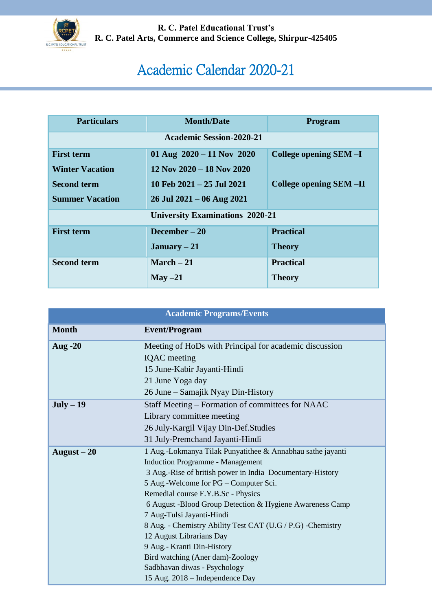

**R. C. Patel Educational Trust's R. C. Patel Arts, Commerce and Science College, Shirpur-425405**

## Academic Calendar 2020-21

| <b>Particulars</b>                     | <b>Month/Date</b>               | Program                       |  |  |
|----------------------------------------|---------------------------------|-------------------------------|--|--|
| <b>Academic Session-2020-21</b>        |                                 |                               |  |  |
| <b>First term</b>                      | 01 Aug $2020 - 11$ Nov 2020     | College opening SEM-I         |  |  |
| <b>Winter Vacation</b>                 | $12$ Nov $2020 - 18$ Nov $2020$ |                               |  |  |
| <b>Second term</b>                     | 10 Feb $2021 - 25$ Jul $2021$   | <b>College opening SEM-II</b> |  |  |
| <b>Summer Vacation</b>                 | $26$ Jul $2021 - 06$ Aug $2021$ |                               |  |  |
| <b>University Examinations 2020-21</b> |                                 |                               |  |  |
| <b>First term</b>                      | December $-20$                  | <b>Practical</b>              |  |  |
|                                        | January $-21$                   | <b>Theory</b>                 |  |  |
| <b>Second term</b>                     | March $-21$                     | <b>Practical</b>              |  |  |
|                                        | May $-21$                       | <b>Theory</b>                 |  |  |

| <b>Academic Programs/Events</b> |                                                             |  |
|---------------------------------|-------------------------------------------------------------|--|
| <b>Month</b>                    | <b>Event/Program</b>                                        |  |
| <b>Aug -20</b>                  | Meeting of HoDs with Principal for academic discussion      |  |
|                                 | <b>IQAC</b> meeting                                         |  |
|                                 | 15 June-Kabir Jayanti-Hindi                                 |  |
|                                 | 21 June Yoga day                                            |  |
|                                 | 26 June – Samajik Nyay Din-History                          |  |
| $July - 19$                     | Staff Meeting – Formation of committees for NAAC            |  |
|                                 | Library committee meeting                                   |  |
|                                 | 26 July-Kargil Vijay Din-Def. Studies                       |  |
|                                 | 31 July-Premchand Jayanti-Hindi                             |  |
| August $-20$                    | 1 Aug.-Lokmanya Tilak Punyatithee & Annabhau sathe jayanti  |  |
|                                 | <b>Induction Programme - Management</b>                     |  |
|                                 | 3 Aug.-Rise of british power in India Documentary-History   |  |
|                                 | 5 Aug.-Welcome for PG – Computer Sci.                       |  |
|                                 | Remedial course F.Y.B.Sc - Physics                          |  |
|                                 | 6 August -Blood Group Detection & Hygiene Awareness Camp    |  |
|                                 | 7 Aug-Tulsi Jayanti-Hindi                                   |  |
|                                 | 8 Aug. - Chemistry Ability Test CAT (U.G / P.G) - Chemistry |  |
|                                 | 12 August Librarians Day                                    |  |
|                                 | 9 Aug.- Kranti Din-History                                  |  |
|                                 | Bird watching (Aner dam)-Zoology                            |  |
|                                 | Sadbhavan diwas - Psychology                                |  |
|                                 | 15 Aug. 2018 – Independence Day                             |  |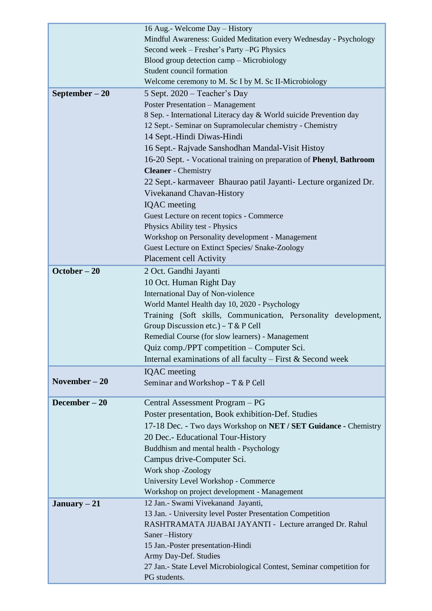|                 | 16 Aug.- Welcome Day - History                                        |
|-----------------|-----------------------------------------------------------------------|
|                 | Mindful Awareness: Guided Meditation every Wednesday - Psychology     |
|                 | Second week – Fresher's Party – PG Physics                            |
|                 | Blood group detection camp - Microbiology                             |
|                 | Student council formation                                             |
|                 | Welcome ceremony to M. Sc I by M. Sc II-Microbiology                  |
| September $-20$ | 5 Sept. 2020 – Teacher's Day                                          |
|                 | <b>Poster Presentation - Management</b>                               |
|                 | 8 Sep. - International Literacy day & World suicide Prevention day    |
|                 | 12 Sept.- Seminar on Supramolecular chemistry - Chemistry             |
|                 | 14 Sept.-Hindi Diwas-Hindi                                            |
|                 | 16 Sept.- Rajvade Sanshodhan Mandal-Visit Histoy                      |
|                 | 16-20 Sept. - Vocational training on preparation of Phenyl, Bathroom  |
|                 | <b>Cleaner</b> - Chemistry                                            |
|                 | 22 Sept.- karmaveer Bhaurao patil Jayanti- Lecture organized Dr.      |
|                 |                                                                       |
|                 | Vivekanand Chavan-History                                             |
|                 | <b>IQAC</b> meeting                                                   |
|                 | Guest Lecture on recent topics - Commerce                             |
|                 | Physics Ability test - Physics                                        |
|                 | Workshop on Personality development - Management                      |
|                 | Guest Lecture on Extinct Species/ Snake-Zoology                       |
|                 | Placement cell Activity                                               |
| October - 20    | 2 Oct. Gandhi Jayanti                                                 |
|                 | 10 Oct. Human Right Day                                               |
|                 | International Day of Non-violence                                     |
|                 | World Mantel Health day 10, 2020 - Psychology                         |
|                 | Training (Soft skills, Communication, Personality development,        |
|                 | Group Discussion etc.) - T & P Cell                                   |
|                 | Remedial Course (for slow learners) - Management                      |
|                 | Quiz comp./PPT competition – Computer Sci.                            |
|                 | Internal examinations of all faculty – First $&$ Second week          |
|                 | <b>IQAC</b> meeting                                                   |
| November $-20$  | Seminar and Workshop - T & P Cell                                     |
|                 |                                                                       |
| December $-20$  | Central Assessment Program – PG                                       |
|                 | Poster presentation, Book exhibition-Def. Studies                     |
|                 |                                                                       |
|                 | 17-18 Dec. - Two days Workshop on NET / SET Guidance - Chemistry      |
|                 | 20 Dec.- Educational Tour-History                                     |
|                 | Buddhism and mental health - Psychology                               |
|                 | Campus drive-Computer Sci.                                            |
|                 | Work shop -Zoology                                                    |
|                 | University Level Workshop - Commerce                                  |
|                 | Workshop on project development - Management                          |
| January $-21$   | 12 Jan.- Swami Vivekanand Jayanti,                                    |
|                 | 13 Jan. - University level Poster Presentation Competition            |
|                 | RASHTRAMATA JIJABAI JAYANTI - Lecture arranged Dr. Rahul              |
|                 | Saner-History                                                         |
|                 | 15 Jan.-Poster presentation-Hindi                                     |
|                 | Army Day-Def. Studies                                                 |
|                 | 27 Jan.- State Level Microbiological Contest, Seminar competition for |
|                 | PG students.                                                          |